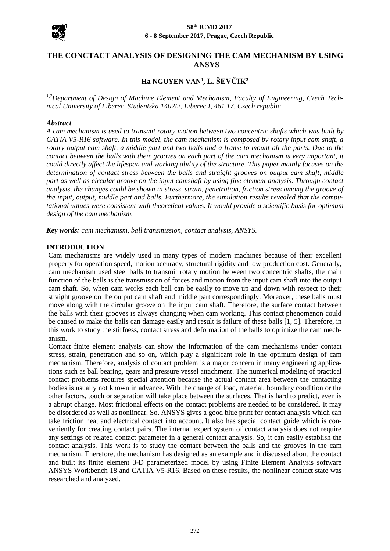

#### **58th ICMD 2017 6 - 8 September 2017, Prague, Czech Republic**

## **THE CONCTACT ANALYSIS OF DESIGNING THE CAM MECHANISM BY USING ANSYS**

# **Ha NGUYEN VAN<sup>1</sup> , L. ŠEVČIK<sup>2</sup>**

*1,2Department of Design of Machine Element and Mechanism, Faculty of Engineering, Czech Technical University of Liberec, Studentska 1402/2, Liberec I, 461 17, Czech republic*

#### *Abstract*

*A cam mechanism is used to transmit rotary motion between two concentric shafts which was built by CATIA V5-R16 software. In this model, the cam mechanism is composed by rotary input cam shaft, a rotary output cam shaft, a middle part and two balls and a frame to mount all the parts. Due to the contact between the balls with their grooves on each part of the cam mechanism is very important, it could directly affect the lifespan and working ability of the structure. This paper mainly focuses on the determination of contact stress between the balls and straight grooves on output cam shaft, middle part as well as circular groove on the input camshaft by using fine element analysis. Through contact analysis, the changes could be shown in stress, strain, penetration, friction stress among the groove of the input, output, middle part and balls. Furthermore, the simulation results revealed that the computational values were consistent with theoretical values. It would provide a scientific basis for optimum design of the cam mechanism.*

*Key words: cam mechanism, ball transmission, contact analysis, ANSYS.*

#### **INTRODUCTION**

Cam mechanisms are widely used in many types of modern machines because of their excellent property for operation speed, motion accuracy, structural rigidity and low production cost. Generally, cam mechanism used steel balls to transmit rotary motion between two concentric shafts, the main function of the balls is the transmission of forces and motion from the input cam shaft into the output cam shaft. So, when cam works each ball can be easily to move up and down with respect to their straight groove on the output cam shaft and middle part correspondingly. Moreover, these balls must move along with the circular groove on the input cam shaft. Therefore, the surface contact between the balls with their grooves is always changing when cam working. This contact phenomenon could be caused to make the balls can damage easily and result is failure of these balls [1, 5]. Therefore, in this work to study the stiffness, contact stress and deformation of the balls to optimize the cam mechanism.

Contact finite element analysis can show the information of the cam mechanisms under contact stress, strain, penetration and so on, which play a significant role in the optimum design of cam mechanism. Therefore, analysis of contact problem is a major concern in many engineering applications such as ball bearing, gears and pressure vessel attachment. The numerical modeling of practical contact problems requires special attention because the actual contact area between the contacting bodies is usually not known in advance. With the change of load, material, boundary condition or the other factors, touch or separation will take place between the surfaces. That is hard to predict, even is a abrupt change. Most frictional effects on the contact problems are needed to be considered. It may be disordered as well as nonlinear. So, ANSYS gives a good blue print for contact analysis which can take friction heat and electrical contact into account. It also has special contact guide which is conveniently for creating contact pairs. The internal expert system of contact analysis does not require any settings of related contact parameter in a general contact analysis. So, it can easily establish the contact analysis. This work is to study the contact between the balls and the grooves in the cam mechanism. Therefore, the mechanism has designed as an example and it discussed about the contact and built its finite element 3-D parameterized model by using Finite Element Analysis software ANSYS Workbench 18 and CATIA V5-R16. Based on these results, the nonlinear contact state was researched and analyzed.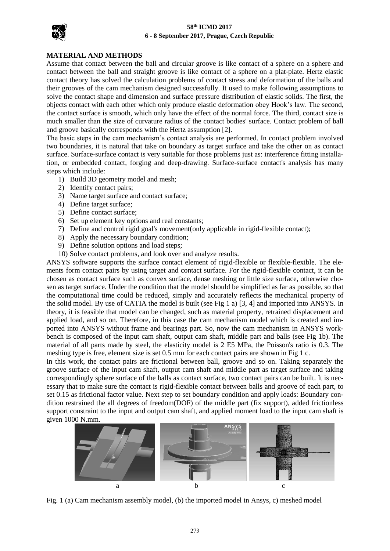

#### **58th ICMD 2017 6 - 8 September 2017, Prague, Czech Republic**

#### **MATERIAL AND METHODS**

Assume that contact between the ball and circular groove is like contact of a sphere on a sphere and contact between the ball and straight groove is like contact of a sphere on a plat-plate. Hertz elastic contact theory has solved the calculation problems of contact stress and deformation of the balls and their grooves of the cam mechanism designed successfully. It used to make following assumptions to solve the contact shape and dimension and surface pressure distribution of elastic solids. The first, the objects contact with each other which only produce elastic deformation obey Hook's law. The second, the contact surface is smooth, which only have the effect of the normal force. The third, contact size is much smaller than the size of curvature radius of the contact bodies' surface. Contact problem of ball and groove basically corresponds with the Hertz assumption [2].

The basic steps in the cam mechanism's contact analysis are performed. In contact problem involved two boundaries, it is natural that take on boundary as target surface and take the other on as contact surface. Surface-surface contact is very suitable for those problems just as: interference fitting installation, or embedded contact, forging and deep-drawing. Surface-surface contact's analysis has many steps which include:

- 1) Build 3D geometry model and mesh;
- 2) Identify contact pairs;
- 3) Name target surface and contact surface;
- 4) Define target surface;
- 5) Define contact surface;
- 6) Set up element key options and real constants;
- 7) Define and control rigid goal's movement(only applicable in rigid-flexible contact);
- 8) Apply the necessary boundary condition;
- 9) Define solution options and load steps;
- 10) Solve contact problems, and look over and analyze results.

ANSYS software supports the surface contact element of rigid-flexible or flexible-flexible. The elements form contact pairs by using target and contact surface. For the rigid-flexible contact, it can be chosen as contact surface such as convex surface, dense meshing or little size surface, otherwise chosen as target surface. Under the condition that the model should be simplified as far as possible, so that the computational time could be reduced, simply and accurately reflects the mechanical property of the solid model. By use of CATIA the model is built (see Fig 1 a) [3, 4] and imported into ANSYS. In theory, it is feasible that model can be changed, such as material property, retrained displacement and applied load, and so on. Therefore, in this case the cam mechanism model which is created and imported into ANSYS without frame and bearings part. So, now the cam mechanism in ANSYS workbench is composed of the input cam shaft, output cam shaft, middle part and balls (see Fig 1b). The material of all parts made by steel, the elasticity model is 2 E5 MPa, the Poisson's ratio is 0.3. The meshing type is free, element size is set 0.5 mm for each contact pairs are shown in Fig 1 c.

In this work, the contact pairs are frictional between ball, groove and so on. Taking separately the groove surface of the input cam shaft, output cam shaft and middle part as target surface and taking correspondingly sphere surface of the balls as contact surface, two contact pairs can be built. It is necessary that to make sure the contact is rigid-flexible contact between balls and groove of each part, to set 0.15 as frictional factor value. Next step to set boundary condition and apply loads: Boundary condition restrained the all degrees of freedom(DOF) of the middle part (fix support), added frictionless support constraint to the input and output cam shaft, and applied moment load to the input cam shaft is given 1000 N.mm.



Fig. 1 (a) Cam mechanism assembly model, (b) the imported model in Ansys, c) meshed model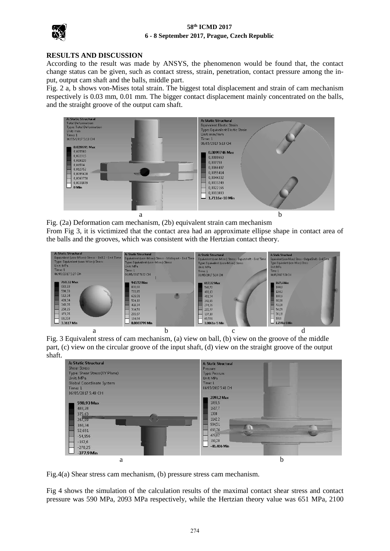## **58th ICMD 2017 6 - 8 September 2017, Prague, Czech Republic**



#### **RESULTS AND DISCUSSION**

According to the result was made by ANSYS, the phenomenon would be found that, the contact change status can be given, such as contact stress, strain, penetration, contact pressure among the input, output cam shaft and the balls, middle part.

Fig. 2 a, b shows von-Mises total strain. The biggest total displacement and strain of cam mechanism respectively is 0.03 mm, 0.01 mm. The bigger contact displacement mainly concentrated on the balls, and the straight groove of the output cam shaft.



Fig. (2a) Deformation cam mechanism, (2b) equivalent strain cam mechanism From Fig 3, it is victimized that the contact area had an approximate ellipse shape in contact area of the balls and the grooves, which was consistent with the Hertzian contact theory.



Fig. 3 Equivalent stress of cam mechanism, (a) view on ball, (b) view on the groove of the middle part, (c) view on the circular groove of the input shaft, (d) view on the straight groove of the output shaft.



Fig.4(a) Shear stress cam mechanism, (b) pressure stress cam mechanism.

Fig 4 shows the simulation of the calculation results of the maximal contact shear stress and contact pressure was 590 MPa, 2093 MPa respectively, while the Hertzian theory value was 651 MPa, 2100